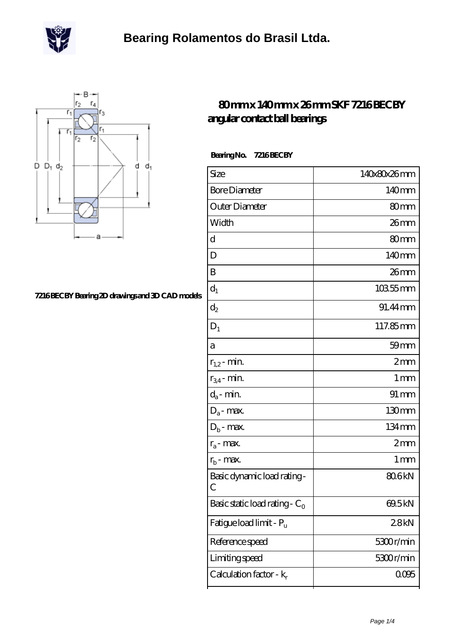



### **[7216 BECBY Bearing 2D drawings and 3D CAD models](https://m.scottrobertalexander.com/pic-539840.html)**

### **[80 mm x 140 mm x 26 mm SKF 7216 BECBY](https://m.scottrobertalexander.com/skf-7216-becby-bearing/) [angular contact ball bearings](https://m.scottrobertalexander.com/skf-7216-becby-bearing/)**

 **Bearing No. 7216 BECBY**

| Size                                      | 140x80x26mm       |
|-------------------------------------------|-------------------|
| <b>Bore Diameter</b>                      | 140mm             |
| Outer Diameter                            | 80mm              |
| Width                                     | $26$ mm           |
| d                                         | 80mm              |
| D                                         | 140mm             |
| B                                         | 26mm              |
| $d_1$                                     | $10355$ mm        |
| $\mathrm{d}_2$                            | 91.44 mm          |
| $D_1$                                     | 117.85mm          |
| a                                         | $59$ mm           |
| $r_{1,2}$ - min.                          | 2mm               |
| $r_{34}$ - min.                           | $1 \,\mathrm{mm}$ |
| $d_a$ - min.                              | $91 \, \text{mm}$ |
| $D_a$ - max.                              | 130mm             |
| $D_b$ - max.                              | 134mm             |
| $r_a$ - max.                              | 2mm               |
| $r_{b}$ - max.                            | $1 \,\mathrm{mm}$ |
| Basic dynamic load rating-<br>C           | 806kN             |
| Basic static load rating - $\mathrm{C}_0$ | 69.5kN            |
| Fatigue load limit - Pu                   | 28kN              |
| Reference speed                           | 5300r/min         |
| Limiting speed                            | 5300r/min         |
| Calculation factor - k <sub>r</sub>       | 0005              |
|                                           |                   |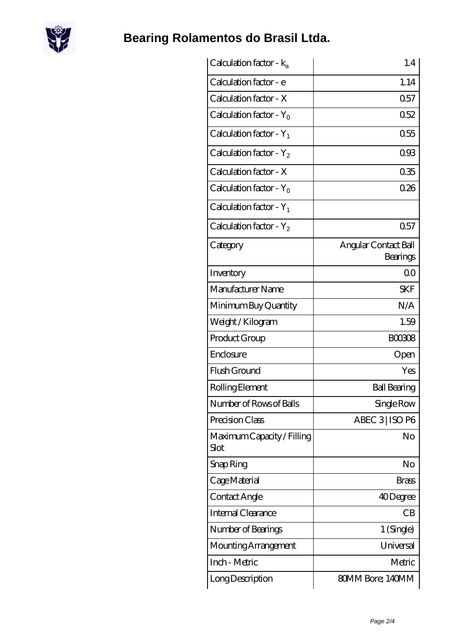

# **[Bearing Rolamentos do Brasil Ltda.](https://m.scottrobertalexander.com)**

| Calculation factor - $k_a$          | 1.4                              |
|-------------------------------------|----------------------------------|
| Calculation factor - e              | 1.14                             |
| Calculation factor - X              | 0.57                             |
| Calculation factor - Y <sub>0</sub> | 0.52                             |
| Calculation factor - $Y_1$          | 0.55                             |
| Calculation factor - $Y_2$          | 093                              |
| Calculation factor - X              | 035                              |
| Calculation factor - $Y_0$          | 026                              |
| Calculation factor - $Y_1$          |                                  |
| Calculation factor - $Y_2$          | 0.57                             |
| Category                            | Angular Contact Ball<br>Bearings |
| Inventory                           | 0 <sub>0</sub>                   |
| Manufacturer Name                   | <b>SKF</b>                       |
| Minimum Buy Quantity                | N/A                              |
| Weight / Kilogram                   | 1.59                             |
| Product Group                       | <b>BOO3O8</b>                    |
| Enclosure                           | Open                             |
| Flush Ground                        | Yes                              |
| Rolling Element                     | <b>Ball Bearing</b>              |
| Number of Rows of Balls             | Single Row                       |
| Precision Class                     | ABEC 3   ISO P6                  |
| Maximum Capacity / Filling<br>Slot  | No                               |
| Snap Ring                           | No                               |
| Cage Material                       | Brass                            |
| Contact Angle                       | 40Degree                         |
| Internal Clearance                  | CB                               |
| Number of Bearings                  | 1 (Single)                       |
| Mounting Arrangement                | Universal                        |
| Inch - Metric                       | Metric                           |
| Long Description                    | 80MM Bore; 140MM                 |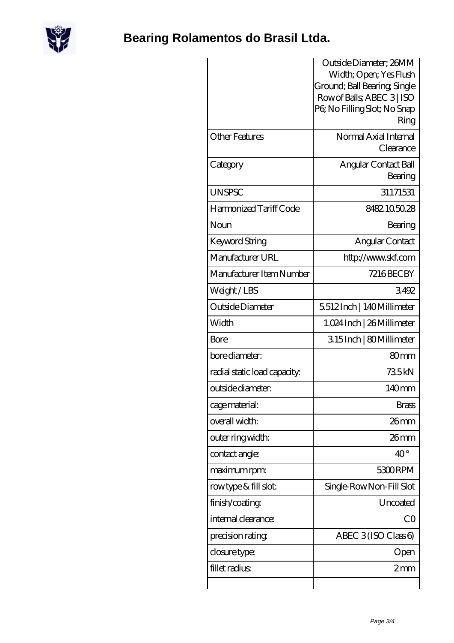

# **[Bearing Rolamentos do Brasil Ltda.](https://m.scottrobertalexander.com)**

| <b>Other Features</b>        |                                    |
|------------------------------|------------------------------------|
|                              | Normal Axial Internal<br>Clearance |
| Category                     | Angular Contact Ball<br>Bearing    |
| <b>UNSPSC</b>                | 31171531                           |
| Harmonized Tariff Code       | 8482105028                         |
| Noun                         | Bearing                            |
| Keyword String               | Angular Contact                    |
| Manufacturer URL             | http://www.skf.com                 |
| Manufacturer Item Number     | <b>7216BECBY</b>                   |
| Weight/LBS                   | 3492                               |
| Outside Diameter             | 5512Inch   140Millimeter           |
| Width                        | 1.024 Inch   26 Millimeter         |
| Bore                         | 315Inch   80Millimeter             |
| bore diameter:               | 80mm                               |
| radial static load capacity: | 735kN                              |
| outside diameter:            | 140mm                              |
| cage material:               | <b>Brass</b>                       |
| overall width:               | $26$ mm                            |
| outer ring width:            | $26$ mm                            |
| contact angle:               | $40^{\circ}$                       |
| maximum rpm:                 | 5300RPM                            |
| rowtype & fill slot:         | Single-RowNon-Fill Slot            |
| finish/coating               | Uncoated                           |
| internal clearance:          | CO                                 |
| precision rating             | ABEC $3$ (ISO Class 6)             |
| closure type:                | Open                               |
| fillet radius                | $2 \text{mm}$                      |